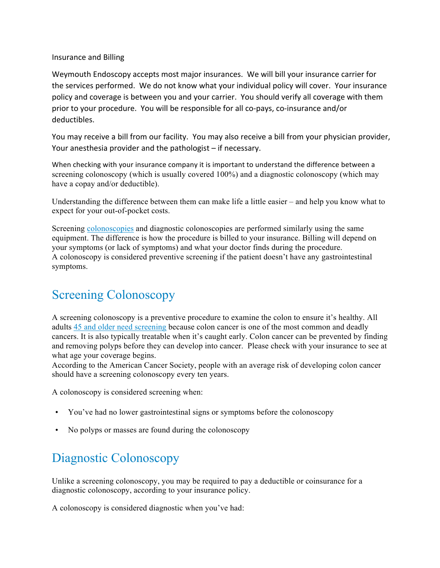Insurance and Billing

Weymouth Endoscopy accepts most major insurances. We will bill your insurance carrier for the services performed. We do not know what your individual policy will cover. Your insurance policy and coverage is between you and your carrier. You should verify all coverage with them prior to your procedure. You will be responsible for all co-pays, co-insurance and/or deductibles. 

You may receive a bill from our facility. You may also receive a bill from your physician provider, Your anesthesia provider and the pathologist  $-$  if necessary.

When checking with your insurance company it is important to understand the difference between a screening colonoscopy (which is usually covered 100%) and a diagnostic colonoscopy (which may have a copay and/or deductible).

Understanding the difference between them can make life a little easier – and help you know what to expect for your out-of-pocket costs.

Screening colonoscopies and diagnostic colonoscopies are performed similarly using the same equipment. The difference is how the procedure is billed to your insurance. Billing will depend on your symptoms (or lack of symptoms) and what your doctor finds during the procedure. A colonoscopy is considered preventive screening if the patient doesn't have any gastrointestinal symptoms.

## Screening Colonoscopy

A screening colonoscopy is a preventive procedure to examine the colon to ensure it's healthy. All adults 45 and older need screening because colon cancer is one of the most common and deadly cancers. It is also typically treatable when it's caught early. Colon cancer can be prevented by finding and removing polyps before they can develop into cancer. Please check with your insurance to see at what age your coverage begins.

According to the American Cancer Society, people with an average risk of developing colon cancer should have a screening colonoscopy every ten years.

A colonoscopy is considered screening when:

- You've had no lower gastrointestinal signs or symptoms before the colonoscopy
- No polyps or masses are found during the colonoscopy

## Diagnostic Colonoscopy

Unlike a screening colonoscopy, you may be required to pay a deductible or coinsurance for a diagnostic colonoscopy, according to your insurance policy.

A colonoscopy is considered diagnostic when you've had: